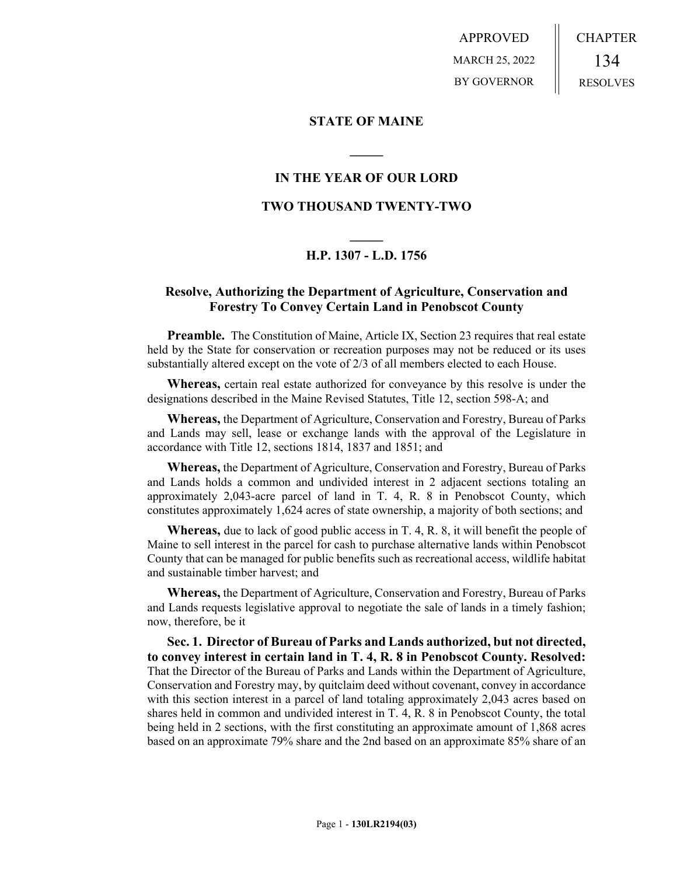APPROVED MARCH 25, 2022 BY GOVERNOR CHAPTER 134 RESOLVES

#### **STATE OF MAINE**

### **IN THE YEAR OF OUR LORD**

**\_\_\_\_\_**

### **TWO THOUSAND TWENTY-TWO**

# **\_\_\_\_\_ H.P. 1307 - L.D. 1756**

## **Resolve, Authorizing the Department of Agriculture, Conservation and Forestry To Convey Certain Land in Penobscot County**

**Preamble.** The Constitution of Maine, Article IX, Section 23 requires that real estate held by the State for conservation or recreation purposes may not be reduced or its uses substantially altered except on the vote of 2/3 of all members elected to each House.

**Whereas,** certain real estate authorized for conveyance by this resolve is under the designations described in the Maine Revised Statutes, Title 12, section 598-A; and

**Whereas,** the Department of Agriculture, Conservation and Forestry, Bureau of Parks and Lands may sell, lease or exchange lands with the approval of the Legislature in accordance with Title 12, sections 1814, 1837 and 1851; and

**Whereas,** the Department of Agriculture, Conservation and Forestry, Bureau of Parks and Lands holds a common and undivided interest in 2 adjacent sections totaling an approximately 2,043-acre parcel of land in T. 4, R. 8 in Penobscot County, which constitutes approximately 1,624 acres of state ownership, a majority of both sections; and

**Whereas,** due to lack of good public access in T. 4, R. 8, it will benefit the people of Maine to sell interest in the parcel for cash to purchase alternative lands within Penobscot County that can be managed for public benefits such as recreational access, wildlife habitat and sustainable timber harvest; and

**Whereas,** the Department of Agriculture, Conservation and Forestry, Bureau of Parks and Lands requests legislative approval to negotiate the sale of lands in a timely fashion; now, therefore, be it

**Sec. 1. Director of Bureau of Parks and Lands authorized, but not directed, to convey interest in certain land in T. 4, R. 8 in Penobscot County. Resolved:** That the Director of the Bureau of Parks and Lands within the Department of Agriculture, Conservation and Forestry may, by quitclaim deed without covenant, convey in accordance with this section interest in a parcel of land totaling approximately 2,043 acres based on shares held in common and undivided interest in T. 4, R. 8 in Penobscot County, the total being held in 2 sections, with the first constituting an approximate amount of 1,868 acres based on an approximate 79% share and the 2nd based on an approximate 85% share of an